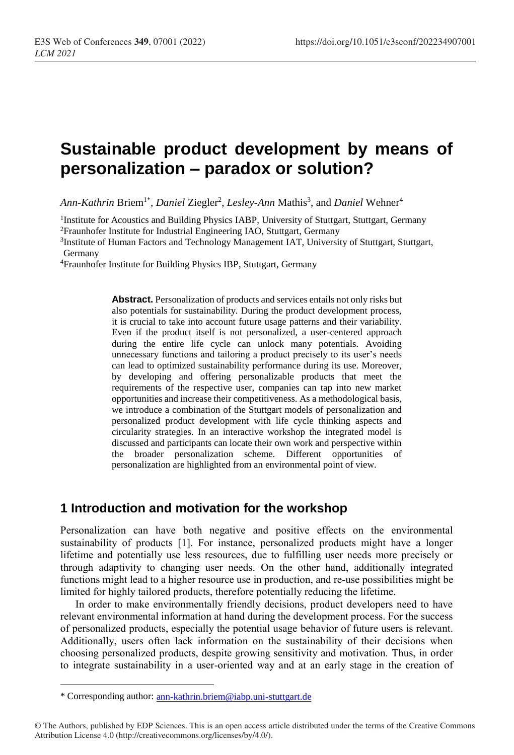# **Sustainable product development by means of personalization – paradox or solution?**

Ann-*Kathrin* Briem<sup>1\*</sup>, *Daniel Zi*egler<sup>2</sup>, *Lesley-Ann* Mathis<sup>3</sup>, and *Daniel* Wehner<sup>4</sup>

<sup>1</sup>Institute for Acoustics and Building Physics IABP, University of Stuttgart, Stuttgart, Germany <sup>2</sup>Fraunhofer Institute for Industrial Engineering IAO, Stuttgart, Germany

<sup>3</sup>Institute of Human Factors and Technology Management IAT, University of Stuttgart, Stuttgart, Germany

<sup>4</sup>Fraunhofer Institute for Building Physics IBP, Stuttgart, Germany

**Abstract.** Personalization of products and services entails not only risks but also potentials for sustainability. During the product development process, it is crucial to take into account future usage patterns and their variability. Even if the product itself is not personalized, a user-centered approach during the entire life cycle can unlock many potentials. Avoiding unnecessary functions and tailoring a product precisely to its user's needs can lead to optimized sustainability performance during its use. Moreover, by developing and offering personalizable products that meet the requirements of the respective user, companies can tap into new market opportunities and increase their competitiveness. As a methodological basis, we introduce a combination of the Stuttgart models of personalization and personalized product development with life cycle thinking aspects and circularity strategies. In an interactive workshop the integrated model is discussed and participants can locate their own work and perspective within the broader personalization scheme. Different opportunities of personalization are highlighted from an environmental point of view.

### **1 Introduction and motivation for the workshop**

Personalization can have both negative and positive effects on the environmental sustainability of products [\[1\]](#page-5-0). For instance, personalized products might have a longer lifetime and potentially use less resources, due to fulfilling user needs more precisely or through adaptivity to changing user needs. On the other hand, additionally integrated functions might lead to a higher resource use in production, and re-use possibilities might be limited for highly tailored products, therefore potentially reducing the lifetime.

In order to make environmentally friendly decisions, product developers need to have relevant environmental information at hand during the development process. For the success of personalized products, especially the potential usage behavior of future users is relevant. Additionally, users often lack information on the sustainability of their decisions when choosing personalized products, despite growing sensitivity and motivation. Thus, in order to integrate sustainability in a user-oriented way and at an early stage in the creation of

 $\overline{a}$ 

<sup>\*</sup> Corresponding author: [ann-kathrin.briem@iabp.uni-stuttgart.de](mailto:ann-kathrin.briem@iabp.uni-stuttgart.de)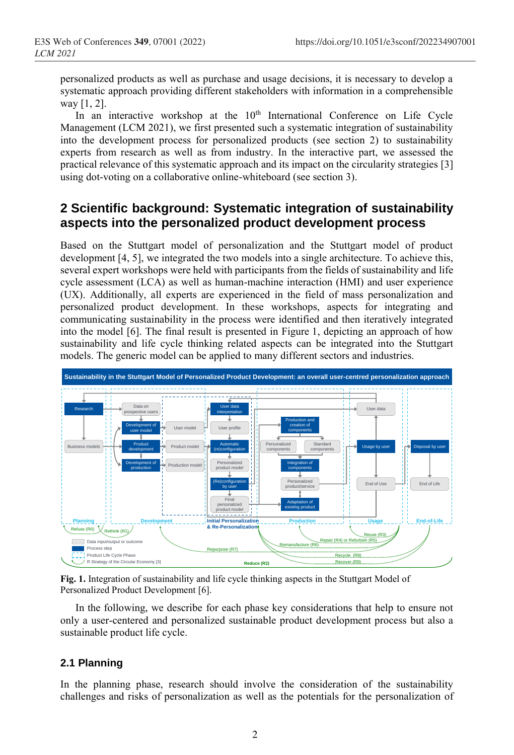personalized products as well as purchase and usage decisions, it is necessary to develop a systematic approach providing different stakeholders with information in a comprehensible way [\[1,](#page-5-0) [2\]](#page-5-1).

In an interactive workshop at the  $10<sup>th</sup>$  International Conference on Life Cycle Management (LCM 2021), we first presented such a systematic integration of sustainability into the development process for personalized products (see section [2\)](#page-1-0) to sustainability experts from research as well as from industry. In the interactive part, we assessed the practical relevance of this systematic approach and its impact on the circularity strategies [\[3\]](#page-5-2) using dot-voting on a collaborative online-whiteboard (see section [3\)](#page-3-0).

# <span id="page-1-0"></span>**2 Scientific background: Systematic integration of sustainability aspects into the personalized product development process**

Based on the Stuttgart model of personalization and the Stuttgart model of product development [\[4,](#page-5-3) [5\]](#page-5-4), we integrated the two models into a single architecture. To achieve this, several expert workshops were held with participants from the fields of sustainability and life cycle assessment (LCA) as well as human-machine interaction (HMI) and user experience (UX). Additionally, all experts are experienced in the field of mass personalization and personalized product development. In these workshops, aspects for integrating and communicating sustainability in the process were identified and then iteratively integrated into the model [\[6\]](#page-5-5). The final result is presented in Figure 1, depicting an approach of how sustainability and life cycle thinking related aspects can be integrated into the Stuttgart models. The generic model can be applied to many different sectors and industries.



**Fig. 1.** Integration of sustainability and life cycle thinking aspects in the Stuttgart Model of Personalized Product Development [\[6\]](#page-5-5).

In the following, we describe for each phase key considerations that help to ensure not only a user-centered and personalized sustainable product development process but also a sustainable product life cycle.

### **2.1 Planning**

In the planning phase, research should involve the consideration of the sustainability challenges and risks of personalization as well as the potentials for the personalization of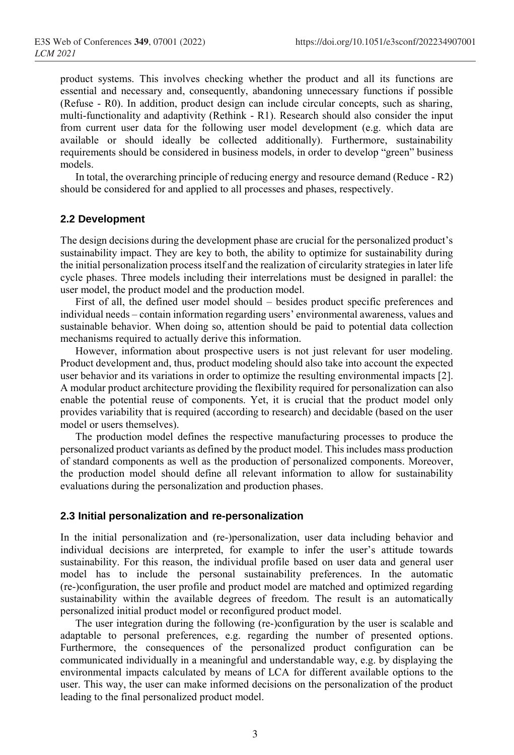product systems. This involves checking whether the product and all its functions are essential and necessary and, consequently, abandoning unnecessary functions if possible (Refuse - R0). In addition, product design can include circular concepts, such as sharing, multi-functionality and adaptivity (Rethink - R1). Research should also consider the input from current user data for the following user model development (e.g. which data are available or should ideally be collected additionally). Furthermore, sustainability requirements should be considered in business models, in order to develop "green" business models.

In total, the overarching principle of reducing energy and resource demand (Reduce - R2) should be considered for and applied to all processes and phases, respectively.

#### **2.2 Development**

The design decisions during the development phase are crucial for the personalized product's sustainability impact. They are key to both, the ability to optimize for sustainability during the initial personalization process itself and the realization of circularity strategies in later life cycle phases. Three models including their interrelations must be designed in parallel: the user model, the product model and the production model.

First of all, the defined user model should – besides product specific preferences and individual needs – contain information regarding users' environmental awareness, values and sustainable behavior. When doing so, attention should be paid to potential data collection mechanisms required to actually derive this information.

However, information about prospective users is not just relevant for user modeling. Product development and, thus, product modeling should also take into account the expected user behavior and its variations in order to optimize the resulting environmental impacts [\[2\]](#page-5-1). A modular product architecture providing the flexibility required for personalization can also enable the potential reuse of components. Yet, it is crucial that the product model only provides variability that is required (according to research) and decidable (based on the user model or users themselves).

The production model defines the respective manufacturing processes to produce the personalized product variants as defined by the product model. This includes mass production of standard components as well as the production of personalized components. Moreover, the production model should define all relevant information to allow for sustainability evaluations during the personalization and production phases.

#### **2.3 Initial personalization and re-personalization**

In the initial personalization and (re-)personalization, user data including behavior and individual decisions are interpreted, for example to infer the user's attitude towards sustainability. For this reason, the individual profile based on user data and general user model has to include the personal sustainability preferences. In the automatic (re-)configuration, the user profile and product model are matched and optimized regarding sustainability within the available degrees of freedom. The result is an automatically personalized initial product model or reconfigured product model.

The user integration during the following (re-)configuration by the user is scalable and adaptable to personal preferences, e.g. regarding the number of presented options. Furthermore, the consequences of the personalized product configuration can be communicated individually in a meaningful and understandable way, e.g. by displaying the environmental impacts calculated by means of LCA for different available options to the user. This way, the user can make informed decisions on the personalization of the product leading to the final personalized product model.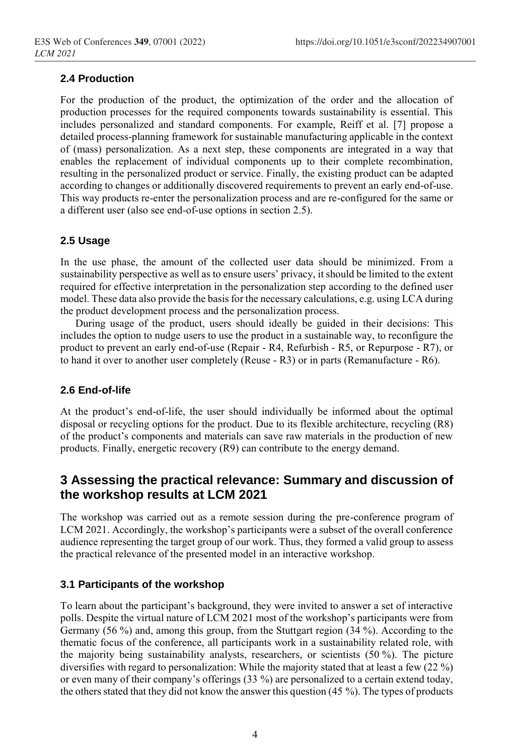### **2.4 Production**

For the production of the product, the optimization of the order and the allocation of production processes for the required components towards sustainability is essential. This includes personalized and standard components. For example, Reiff et al. [\[7\]](#page-5-6) propose a detailed process-planning framework for sustainable manufacturing applicable in the context of (mass) personalization. As a next step, these components are integrated in a way that enables the replacement of individual components up to their complete recombination, resulting in the personalized product or service. Finally, the existing product can be adapted according to changes or additionally discovered requirements to prevent an early end-of-use. This way products re-enter the personalization process and are re-configured for the same or a different user (also see end-of-use options in section 2.5).

#### **2.5 Usage**

In the use phase, the amount of the collected user data should be minimized. From a sustainability perspective as well as to ensure users' privacy, it should be limited to the extent required for effective interpretation in the personalization step according to the defined user model. These data also provide the basis for the necessary calculations, e.g. using LCA during the product development process and the personalization process.

During usage of the product, users should ideally be guided in their decisions: This includes the option to nudge users to use the product in a sustainable way, to reconfigure the product to prevent an early end-of-use (Repair - R4, Refurbish - R5, or Repurpose - R7), or to hand it over to another user completely (Reuse - R3) or in parts (Remanufacture - R6).

#### **2.6 End-of-life**

At the product's end-of-life, the user should individually be informed about the optimal disposal or recycling options for the product. Due to its flexible architecture, recycling (R8) of the product's components and materials can save raw materials in the production of new products. Finally, energetic recovery (R9) can contribute to the energy demand.

## <span id="page-3-0"></span>**3 Assessing the practical relevance: Summary and discussion of the workshop results at LCM 2021**

The workshop was carried out as a remote session during the pre-conference program of LCM 2021. Accordingly, the workshop's participants were a subset of the overall conference audience representing the target group of our work. Thus, they formed a valid group to assess the practical relevance of the presented model in an interactive workshop.

### **3.1 Participants of the workshop**

To learn about the participant's background, they were invited to answer a set of interactive polls. Despite the virtual nature of LCM 2021 most of the workshop's participants were from Germany (56 %) and, among this group, from the Stuttgart region (34 %). According to the thematic focus of the conference, all participants work in a sustainability related role, with the majority being sustainability analysts, researchers, or scientists (50 %). The picture diversifies with regard to personalization: While the majority stated that at least a few (22 %) or even many of their company's offerings (33 %) are personalized to a certain extend today, the others stated that they did not know the answer this question (45 %). The types of products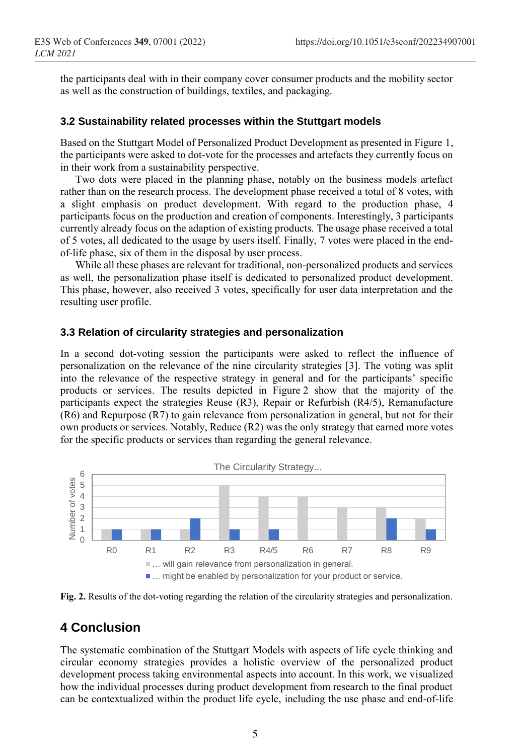the participants deal with in their company cover consumer products and the mobility sector as well as the construction of buildings, textiles, and packaging.

#### **3.2 Sustainability related processes within the Stuttgart models**

Based on the Stuttgart Model of Personalized Product Development as presented in Figure 1, the participants were asked to dot-vote for the processes and artefacts they currently focus on in their work from a sustainability perspective.

Two dots were placed in the planning phase, notably on the business models artefact rather than on the research process. The development phase received a total of 8 votes, with a slight emphasis on product development. With regard to the production phase, 4 participants focus on the production and creation of components. Interestingly, 3 participants currently already focus on the adaption of existing products. The usage phase received a total of 5 votes, all dedicated to the usage by users itself. Finally, 7 votes were placed in the endof-life phase, six of them in the disposal by user process.

While all these phases are relevant for traditional, non-personalized products and services as well, the personalization phase itself is dedicated to personalized product development. This phase, however, also received 3 votes, specifically for user data interpretation and the resulting user profile.

#### **3.3 Relation of circularity strategies and personalization**

In a second dot-voting session the participants were asked to reflect the influence of personalization on the relevance of the nine circularity strategies [\[3\]](#page-5-2). The voting was split into the relevance of the respective strategy in general and for the participants' specific products or services. The results depicted in Figure 2 show that the majority of the participants expect the strategies Reuse (R3), Repair or Refurbish (R4/5), Remanufacture (R6) and Repurpose (R7) to gain relevance from personalization in general, but not for their own products or services. Notably, Reduce (R2) was the only strategy that earned more votes for the specific products or services than regarding the general relevance.



**Fig. 2.** Results of the dot-voting regarding the relation of the circularity strategies and personalization.

### **4 Conclusion**

The systematic combination of the Stuttgart Models with aspects of life cycle thinking and circular economy strategies provides a holistic overview of the personalized product development process taking environmental aspects into account. In this work, we visualized how the individual processes during product development from research to the final product can be contextualized within the product life cycle, including the use phase and end-of-life